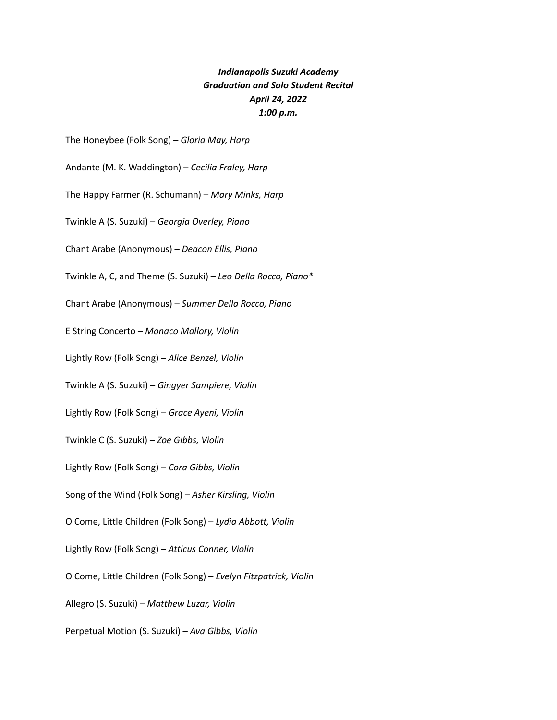## *Indianapolis Suzuki Academy Graduation and Solo Student Recital April 24, 2022 1:00 p.m.*

The Honeybee (Folk Song) – *Gloria May, Harp*

Andante (M. K. Waddington) – *Cecilia Fraley, Harp*

The Happy Farmer (R. Schumann) – *Mary Minks, Harp*

Twinkle A (S. Suzuki) – *Georgia Overley, Piano*

Chant Arabe (Anonymous) – *Deacon Ellis, Piano*

Twinkle A, C, and Theme (S. Suzuki) – *Leo Della Rocco, Piano\**

Chant Arabe (Anonymous) – *Summer Della Rocco, Piano*

E String Concerto – *Monaco Mallory, Violin*

Lightly Row (Folk Song) – *Alice Benzel, Violin*

Twinkle A (S. Suzuki) – *Gingyer Sampiere, Violin*

Lightly Row (Folk Song) – *Grace Ayeni, Violin*

Twinkle C (S. Suzuki) – *Zoe Gibbs, Violin*

Lightly Row (Folk Song) – *Cora Gibbs, Violin*

Song of the Wind (Folk Song) – *Asher Kirsling, Violin*

O Come, Little Children (Folk Song) – *Lydia Abbott, Violin*

Lightly Row (Folk Song) – *Atticus Conner, Violin*

O Come, Little Children (Folk Song) – *Evelyn Fitzpatrick, Violin*

Allegro (S. Suzuki) – *Matthew Luzar, Violin*

Perpetual Motion (S. Suzuki) – *Ava Gibbs, Violin*